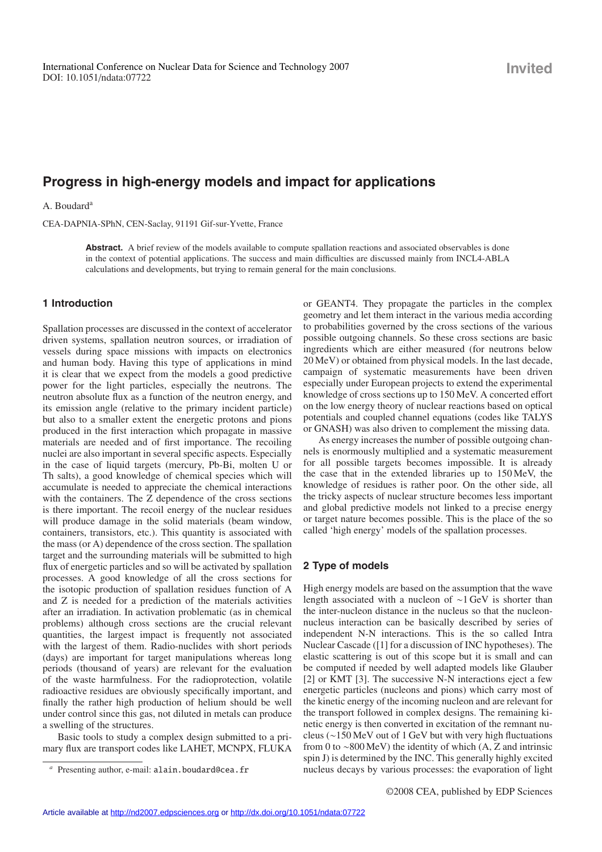# **Progress in high-energy models and impact for applications**

A. Boudard<sup>a</sup>

CEA-DAPNIA-SPhN, CEN-Saclay, 91191 Gif-sur-Yvette, France

Abstract. A brief review of the models available to compute spallation reactions and associated observables is done in the context of potential applications. The success and main difficulties are discussed mainly from INCL4-ABLA calculations and developments, but trying to remain general for the main conclusions.

### **1 Introduction**

Spallation processes are discussed in the context of accelerator driven systems, spallation neutron sources, or irradiation of vessels during space missions with impacts on electronics and human body. Having this type of applications in mind it is clear that we expect from the models a good predictive power for the light particles, especially the neutrons. The neutron absolute flux as a function of the neutron energy, and its emission angle (relative to the primary incident particle) but also to a smaller extent the energetic protons and pions produced in the first interaction which propagate in massive materials are needed and of first importance. The recoiling nuclei are also important in several specific aspects. Especially in the case of liquid targets (mercury, Pb-Bi, molten U or Th salts), a good knowledge of chemical species which will accumulate is needed to appreciate the chemical interactions with the containers. The Z dependence of the cross sections is there important. The recoil energy of the nuclear residues will produce damage in the solid materials (beam window, containers, transistors, etc.). This quantity is associated with the mass (or A) dependence of the cross section. The spallation target and the surrounding materials will be submitted to high flux of energetic particles and so will be activated by spallation processes. A good knowledge of all the cross sections for the isotopic production of spallation residues function of A and Z is needed for a prediction of the materials activities after an irradiation. In activation problematic (as in chemical problems) although cross sections are the crucial relevant quantities, the largest impact is frequently not associated with the largest of them. Radio-nuclides with short periods (days) are important for target manipulations whereas long periods (thousand of years) are relevant for the evaluation of the waste harmfulness. For the radioprotection, volatile radioactive residues are obviously specifically important, and finally the rather high production of helium should be well under control since this gas, not diluted in metals can produce a swelling of the structures.

Basic tools to study a complex design submitted to a primary flux are transport codes like LAHET, MCNPX, FLUKA or GEANT4. They propagate the particles in the complex geometry and let them interact in the various media according to probabilities governed by the cross sections of the various possible outgoing channels. So these cross sections are basic ingredients which are either measured (for neutrons below 20 MeV) or obtained from physical models. In the last decade, campaign of systematic measurements have been driven especially under European projects to extend the experimental knowledge of cross sections up to 150 MeV. A concerted effort on the low energy theory of nuclear reactions based on optical potentials and coupled channel equations (codes like TALYS or GNASH) was also driven to complement the missing data.

As energy increases the number of possible outgoing channels is enormously multiplied and a systematic measurement for all possible targets becomes impossible. It is already the case that in the extended libraries up to 150 MeV, the knowledge of residues is rather poor. On the other side, all the tricky aspects of nuclear structure becomes less important and global predictive models not linked to a precise energy or target nature becomes possible. This is the place of the so called 'high energy' models of the spallation processes.

## **2 Type of models**

High energy models are based on the assumption that the wave length associated with a nucleon of ∼1 GeV is shorter than the inter-nucleon distance in the nucleus so that the nucleonnucleus interaction can be basically described by series of independent N-N interactions. This is the so called Intra Nuclear Cascade ([1] for a discussion of INC hypotheses). The elastic scattering is out of this scope but it is small and can be computed if needed by well adapted models like Glauber [2] or KMT [3]. The successive N-N interactions eject a few energetic particles (nucleons and pions) which carry most of the kinetic energy of the incoming nucleon and are relevant for the transport followed in complex designs. The remaining kinetic energy is then converted in excitation of the remnant nucleus (∼150 MeV out of 1 GeV but with very high fluctuations from 0 to ∼800 MeV) the identity of which (A, Z and intrinsic spin J) is determined by the INC. This generally highly excited nucleus decays by various processes: the evaporation of light

Presenting author, e-mail: alain.boudard@cea.fr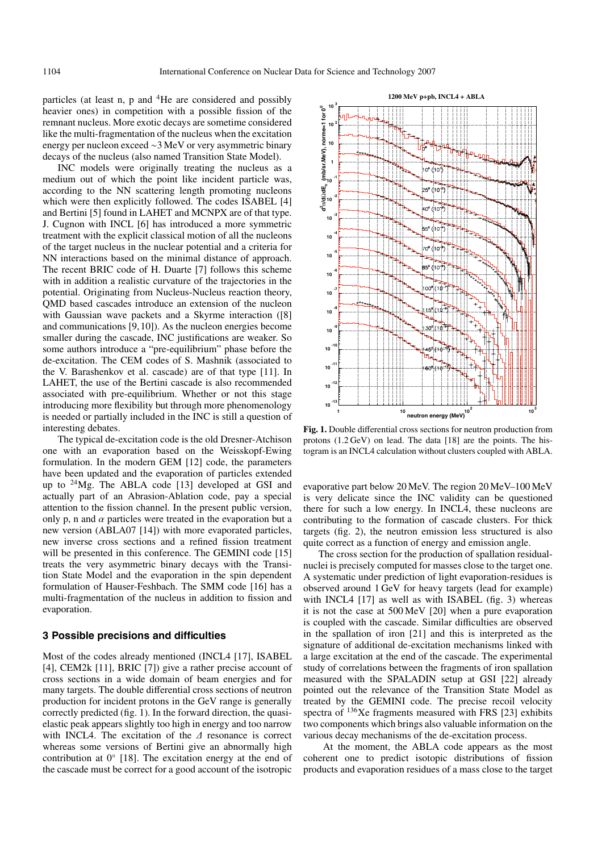particles (at least n, p and 4He are considered and possibly heavier ones) in competition with a possible fission of the remnant nucleus. More exotic decays are sometime considered like the multi-fragmentation of the nucleus when the excitation energy per nucleon exceed ∼3 MeV or very asymmetric binary decays of the nucleus (also named Transition State Model).

INC models were originally treating the nucleus as a medium out of which the point like incident particle was, according to the NN scattering length promoting nucleons which were then explicitly followed. The codes ISABEL [4] and Bertini [5] found in LAHET and MCNPX are of that type. J. Cugnon with INCL [6] has introduced a more symmetric treatment with the explicit classical motion of all the nucleons of the target nucleus in the nuclear potential and a criteria for NN interactions based on the minimal distance of approach. The recent BRIC code of H. Duarte [7] follows this scheme with in addition a realistic curvature of the trajectories in the potential. Originating from Nucleus-Nucleus reaction theory, QMD based cascades introduce an extension of the nucleon with Gaussian wave packets and a Skyrme interaction ([8] and communications [9, 10]). As the nucleon energies become smaller during the cascade, INC justifications are weaker. So some authors introduce a "pre-equilibrium" phase before the de-excitation. The CEM codes of S. Mashnik (associated to the V. Barashenkov et al. cascade) are of that type [11]. In LAHET, the use of the Bertini cascade is also recommended associated with pre-equilibrium. Whether or not this stage introducing more flexibility but through more phenomenology is needed or partially included in the INC is still a question of interesting debates.

The typical de-excitation code is the old Dresner-Atchison one with an evaporation based on the Weisskopf-Ewing formulation. In the modern GEM [12] code, the parameters have been updated and the evaporation of particles extended up to  $^{24}$ Mg. The ABLA code [13] developed at GSI and actually part of an Abrasion-Ablation code, pay a special attention to the fission channel. In the present public version, only p, n and  $\alpha$  particles were treated in the evaporation but a new version (ABLA07 [14]) with more evaporated particles, new inverse cross sections and a refined fission treatment will be presented in this conference. The GEMINI code [15] treats the very asymmetric binary decays with the Transition State Model and the evaporation in the spin dependent formulation of Hauser-Feshbach. The SMM code [16] has a multi-fragmentation of the nucleus in addition to fission and evaporation.

#### **3 Possible precisions and difficulties**

Most of the codes already mentioned (INCL4 [17], ISABEL [4], CEM2k [11], BRIC [7]) give a rather precise account of cross sections in a wide domain of beam energies and for many targets. The double differential cross sections of neutron production for incident protons in the GeV range is generally correctly predicted (fig. 1). In the forward direction, the quasielastic peak appears slightly too high in energy and too narrow with INCL4. The excitation of the ∆ resonance is correct whereas some versions of Bertini give an abnormally high contribution at 0◦ [18]. The excitation energy at the end of the cascade must be correct for a good account of the isotropic



**Fig. 1.** Double differential cross sections for neutron production from protons (1.2 GeV) on lead. The data [18] are the points. The histogram is an INCL4 calculation without clusters coupled with ABLA.

evaporative part below 20 MeV. The region 20 MeV–100 MeV is very delicate since the INC validity can be questioned there for such a low energy. In INCL4, these nucleons are contributing to the formation of cascade clusters. For thick targets (fig. 2), the neutron emission less structured is also quite correct as a function of energy and emission angle.

The cross section for the production of spallation residualnuclei is precisely computed for masses close to the target one. A systematic under prediction of light evaporation-residues is observed around 1 GeV for heavy targets (lead for example) with INCL4 [17] as well as with ISABEL (fig. 3) whereas it is not the case at 500 MeV [20] when a pure evaporation is coupled with the cascade. Similar difficulties are observed in the spallation of iron [21] and this is interpreted as the signature of additional de-excitation mechanisms linked with a large excitation at the end of the cascade. The experimental study of correlations between the fragments of iron spallation measured with the SPALADIN setup at GSI [22] already pointed out the relevance of the Transition State Model as treated by the GEMINI code. The precise recoil velocity spectra of 136Xe fragments measured with FRS [23] exhibits two components which brings also valuable information on the various decay mechanisms of the de-excitation process.

At the moment, the ABLA code appears as the most coherent one to predict isotopic distributions of fission products and evaporation residues of a mass close to the target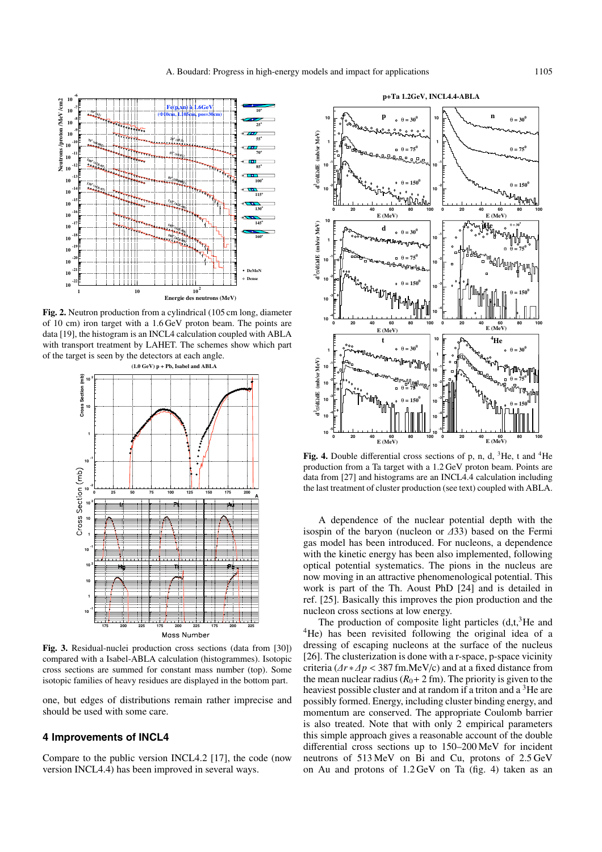

**Fig. 2.** Neutron production from a cylindrical (105 cm long, diameter of 10 cm) iron target with a 1.6 GeV proton beam. The points are data [19], the histogram is an INCL4 calculation coupled with ABLA with transport treatment by LAHET. The schemes show which part of the target is seen by the detectors at each angle.



**Fig. 3.** Residual-nuclei production cross sections (data from [30]) compared with a Isabel-ABLA calculation (histogrammes). Isotopic cross sections are summed for constant mass number (top). Some isotopic families of heavy residues are displayed in the bottom part.

one, but edges of distributions remain rather imprecise and should be used with some care.

### **4 Improvements of INCL4**

Compare to the public version INCL4.2 [17], the code (now version INCL4.4) has been improved in several ways.



Fig. 4. Double differential cross sections of p, n, d, <sup>3</sup>He, t and <sup>4</sup>He production from a Ta target with a 1.2 GeV proton beam. Points are data from [27] and histograms are an INCL4.4 calculation including the last treatment of cluster production (see text) coupled with ABLA.

A dependence of the nuclear potential depth with the isospin of the baryon (nucleon or ∆33) based on the Fermi gas model has been introduced. For nucleons, a dependence with the kinetic energy has been also implemented, following optical potential systematics. The pions in the nucleus are now moving in an attractive phenomenological potential. This work is part of the Th. Aoust PhD [24] and is detailed in ref. [25]. Basically this improves the pion production and the nucleon cross sections at low energy.

The production of composite light particles  $(d,t,{}^{3}He$  and <sup>4</sup>He) has been revisited following the original idea of a dressing of escaping nucleons at the surface of the nucleus [26]. The clusterization is done with a r-space, p-space vicinity criteria (∆*r* ∗∆*p* < 387 fm.MeV/c) and at a fixed distance from the mean nuclear radius  $(R_0 + 2$  fm). The priority is given to the heaviest possible cluster and at random if a triton and a <sup>3</sup>He are possibly formed. Energy, including cluster binding energy, and momentum are conserved. The appropriate Coulomb barrier is also treated. Note that with only 2 empirical parameters this simple approach gives a reasonable account of the double differential cross sections up to 150–200 MeV for incident neutrons of 513 MeV on Bi and Cu, protons of 2.5 GeV on Au and protons of 1.2 GeV on Ta (fig. 4) taken as an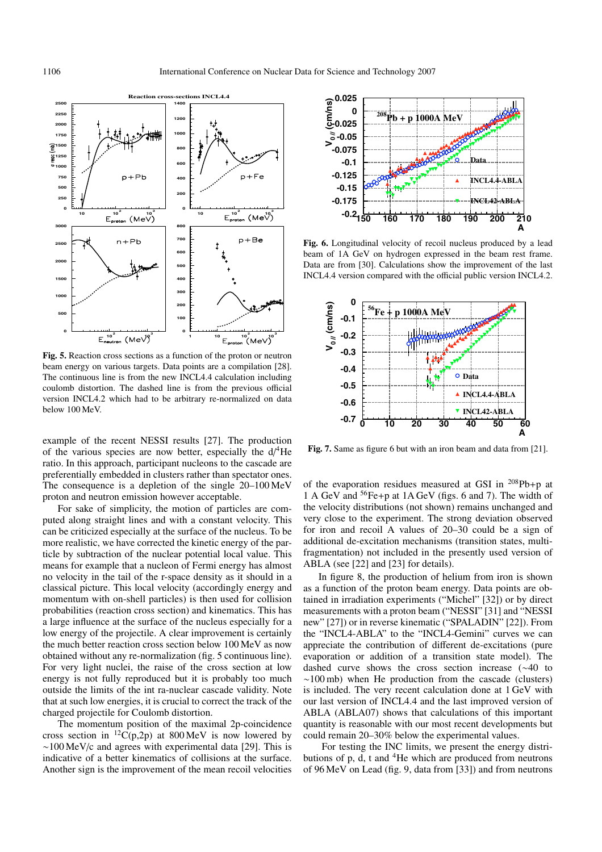

**Fig. 5.** Reaction cross sections as a function of the proton or neutron beam energy on various targets. Data points are a compilation [28]. The continuous line is from the new INCL4.4 calculation including coulomb distortion. The dashed line is from the previous official version INCL4.2 which had to be arbitrary re-normalized on data below 100 MeV.

example of the recent NESSI results [27]. The production of the various species are now better, especially the  $d/4$ He ratio. In this approach, participant nucleons to the cascade are preferentially embedded in clusters rather than spectator ones. The consequence is a depletion of the single 20–100 MeV proton and neutron emission however acceptable.

For sake of simplicity, the motion of particles are computed along straight lines and with a constant velocity. This can be criticized especially at the surface of the nucleus. To be more realistic, we have corrected the kinetic energy of the particle by subtraction of the nuclear potential local value. This means for example that a nucleon of Fermi energy has almost no velocity in the tail of the r-space density as it should in a classical picture. This local velocity (accordingly energy and momentum with on-shell particles) is then used for collision probabilities (reaction cross section) and kinematics. This has a large influence at the surface of the nucleus especially for a low energy of the projectile. A clear improvement is certainly the much better reaction cross section below 100 MeV as now obtained without any re-normalization (fig. 5 continuous line). For very light nuclei, the raise of the cross section at low energy is not fully reproduced but it is probably too much outside the limits of the int ra-nuclear cascade validity. Note that at such low energies, it is crucial to correct the track of the charged projectile for Coulomb distortion.

The momentum position of the maximal 2p-coincidence cross section in  ${}^{12}C(p,2p)$  at 800 MeV is now lowered by ∼100 MeV/c and agrees with experimental data [29]. This is indicative of a better kinematics of collisions at the surface. Another sign is the improvement of the mean recoil velocities



**Fig. 6.** Longitudinal velocity of recoil nucleus produced by a lead beam of 1A GeV on hydrogen expressed in the beam rest frame. Data are from [30]. Calculations show the improvement of the last INCL4.4 version compared with the official public version INCL4.2.



**Fig. 7.** Same as figure 6 but with an iron beam and data from [21].

of the evaporation residues measured at GSI in  $^{208}Pb+p$  at 1 A GeV and 56Fe+p at 1A GeV (figs. 6 and 7). The width of the velocity distributions (not shown) remains unchanged and very close to the experiment. The strong deviation observed for iron and recoil A values of 20–30 could be a sign of additional de-excitation mechanisms (transition states, multifragmentation) not included in the presently used version of ABLA (see [22] and [23] for details).

In figure 8, the production of helium from iron is shown as a function of the proton beam energy. Data points are obtained in irradiation experiments ("Michel" [32]) or by direct measurements with a proton beam ("NESSI" [31] and "NESSI new" [27]) or in reverse kinematic ("SPALADIN" [22]). From the "INCL4-ABLA" to the "INCL4-Gemini" curves we can appreciate the contribution of different de-excitations (pure evaporation or addition of a transition state model). The dashed curve shows the cross section increase (∼40 to ∼100 mb) when He production from the cascade (clusters) is included. The very recent calculation done at 1 GeV with our last version of INCL4.4 and the last improved version of ABLA (ABLA07) shows that calculations of this important quantity is reasonable with our most recent developments but could remain 20–30% below the experimental values.

For testing the INC limits, we present the energy distributions of p, d, t and  ${}^{4}$ He which are produced from neutrons of 96 MeV on Lead (fig. 9, data from [33]) and from neutrons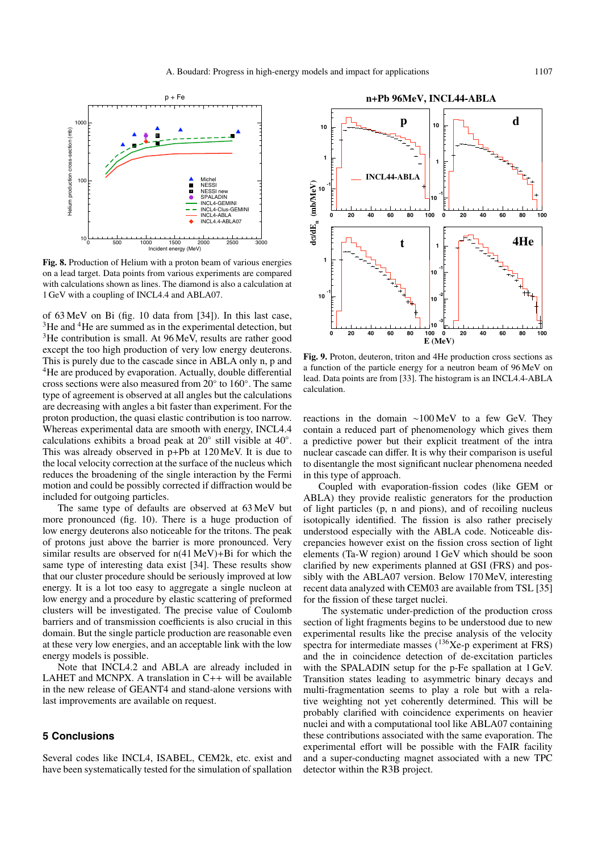

**Fig. 8.** Production of Helium with a proton beam of various energies on a lead target. Data points from various experiments are compared with calculations shown as lines. The diamond is also a calculation at 1 GeV with a coupling of INCL4.4 and ABLA07.

of 63 MeV on Bi (fig. 10 data from [34]). In this last case, <sup>3</sup>He and <sup>4</sup>He are summed as in the experimental detection, but <sup>3</sup>He contribution is small. At 96 MeV, results are rather good except the too high production of very low energy deuterons. This is purely due to the cascade since in ABLA only n, p and <sup>4</sup>He are produced by evaporation. Actually, double differential cross sections were also measured from 20◦ to 160◦. The same type of agreement is observed at all angles but the calculations are decreasing with angles a bit faster than experiment. For the proton production, the quasi elastic contribution is too narrow. Whereas experimental data are smooth with energy, INCL4.4 calculations exhibits a broad peak at 20◦ still visible at 40◦. This was already observed in p+Pb at 120 MeV. It is due to the local velocity correction at the surface of the nucleus which reduces the broadening of the single interaction by the Fermi motion and could be possibly corrected if diffraction would be included for outgoing particles.

The same type of defaults are observed at 63 MeV but more pronounced (fig. 10). There is a huge production of low energy deuterons also noticeable for the tritons. The peak of protons just above the barrier is more pronounced. Very similar results are observed for n(41 MeV)+Bi for which the same type of interesting data exist [34]. These results show that our cluster procedure should be seriously improved at low energy. It is a lot too easy to aggregate a single nucleon at low energy and a procedure by elastic scattering of preformed clusters will be investigated. The precise value of Coulomb barriers and of transmission coefficients is also crucial in this domain. But the single particle production are reasonable even at these very low energies, and an acceptable link with the low energy models is possible.

Note that INCL4.2 and ABLA are already included in LAHET and MCNPX. A translation in  $C_{++}$  will be available in the new release of GEANT4 and stand-alone versions with last improvements are available on request.

## **5 Conclusions**

Several codes like INCL4, ISABEL, CEM2k, etc. exist and have been systematically tested for the simulation of spallation



**Fig. 9.** Proton, deuteron, triton and 4He production cross sections as a function of the particle energy for a neutron beam of 96 MeV on lead. Data points are from [33]. The histogram is an INCL4.4-ABLA calculation.

reactions in the domain ∼100 MeV to a few GeV. They contain a reduced part of phenomenology which gives them a predictive power but their explicit treatment of the intra nuclear cascade can differ. It is why their comparison is useful to disentangle the most significant nuclear phenomena needed in this type of approach.

Coupled with evaporation-fission codes (like GEM or ABLA) they provide realistic generators for the production of light particles (p, n and pions), and of recoiling nucleus isotopically identified. The fission is also rather precisely understood especially with the ABLA code. Noticeable discrepancies however exist on the fission cross section of light elements (Ta-W region) around 1 GeV which should be soon clarified by new experiments planned at GSI (FRS) and possibly with the ABLA07 version. Below 170 MeV, interesting recent data analyzed with CEM03 are available from TSL [35] for the fission of these target nuclei.

The systematic under-prediction of the production cross section of light fragments begins to be understood due to new experimental results like the precise analysis of the velocity spectra for intermediate masses  $(^{136}Xe-p$  experiment at FRS) and the in coincidence detection of de-excitation particles with the SPALADIN setup for the p-Fe spallation at 1 GeV. Transition states leading to asymmetric binary decays and multi-fragmentation seems to play a role but with a relative weighting not yet coherently determined. This will be probably clarified with coincidence experiments on heavier nuclei and with a computational tool like ABLA07 containing these contributions associated with the same evaporation. The experimental effort will be possible with the FAIR facility and a super-conducting magnet associated with a new TPC detector within the R3B project.